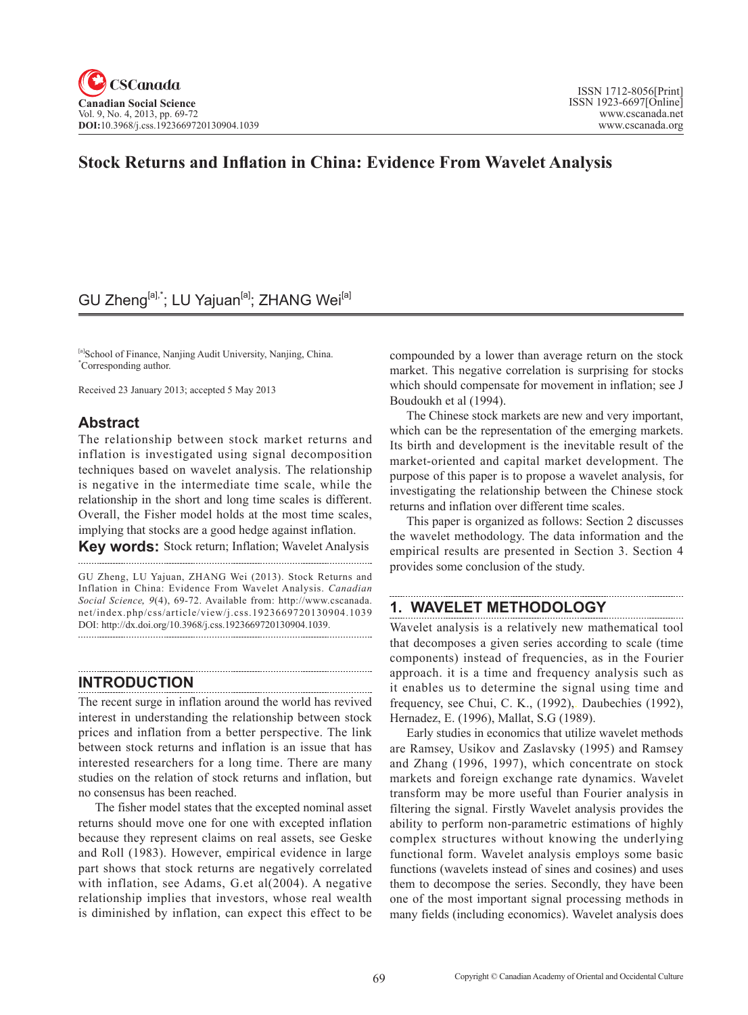# **Stock Returns and Inflation in China: Evidence From Wavelet Analysis**

# GU Zheng<sup>[a],\*</sup>; LU Yajuan<sup>[a]</sup>; ZHANG Wei<sup>[a]</sup>

[a]School of Finance, Nanjing Audit University, Nanjing, China. \* Corresponding author.

Received 23 January 2013; accepted 5 May 2013

### **Abstract**

The relationship between stock market returns and inflation is investigated using signal decomposition techniques based on wavelet analysis. The relationship is negative in the intermediate time scale, while the relationship in the short and long time scales is different. Overall, the Fisher model holds at the most time scales, implying that stocks are a good hedge against inflation.

**Key words:** Stock return; Inflation; Wavelet Analysis

GU Zheng, LU Yajuan, ZHANG Wei (2013). Stock Returns and Inflation in China: Evidence From Wavelet Analysis. *Canadian Social Science*, 9(4), 69-72. Available from: http://www.cscanada. net/index.php/css/article/view/j.css.1923669720130904.1039 DOI: http://dx.doi.org/10.3968/j.css.1923669720130904.1039. 

## **INTRODUCTION**

The recent surge in inflation around the world has revived interest in understanding the relationship between stock prices and inflation from a better perspective. The link between stock returns and inflation is an issue that has interested researchers for a long time. There are many studies on the relation of stock returns and inflation, but no consensus has been reached.

The fisher model states that the excepted nominal asset returns should move one for one with excepted inflation because they represent claims on real assets, see Geske and Roll (1983). However, empirical evidence in large part shows that stock returns are negatively correlated with inflation, see Adams, G.et al(2004). A negative relationship implies that investors, whose real wealth is diminished by inflation, can expect this effect to be

compounded by a lower than average return on the stock market. This negative correlation is surprising for stocks which should compensate for movement in inflation; see J Boudoukh et al (1994).

The Chinese stock markets are new and very important, which can be the representation of the emerging markets. Its birth and development is the inevitable result of the market-oriented and capital market development. The purpose of this paper is to propose a wavelet analysis, for investigating the relationship between the Chinese stock returns and inflation over different time scales.

This paper is organized as follows: Section 2 discusses the wavelet methodology. The data information and the empirical results are presented in Section 3. Section 4 provides some conclusion of the study.

### **1. WAVELET METHODOLOGY**

Wavelet analysis is a relatively new mathematical tool that decomposes a given series according to scale (time components) instead of frequencies, as in the Fourier approach. it is a time and frequency analysis such as it enables us to determine the signal using time and frequency, see Chui, C. K., (1992),. Daubechies (1992), Hernadez, E. (1996), Mallat, S.G (1989).

Early studies in economics that utilize wavelet methods are Ramsey, Usikov and Zaslavsky (1995) and Ramsey and Zhang (1996, 1997), which concentrate on stock markets and foreign exchange rate dynamics. Wavelet transform may be more useful than Fourier analysis in filtering the signal. Firstly Wavelet analysis provides the ability to perform non-parametric estimations of highly complex structures without knowing the underlying functional form. Wavelet analysis employs some basic functions (wavelets instead of sines and cosines) and uses them to decompose the series. Secondly, they have been one of the most important signal processing methods in many fields (including economics). Wavelet analysis does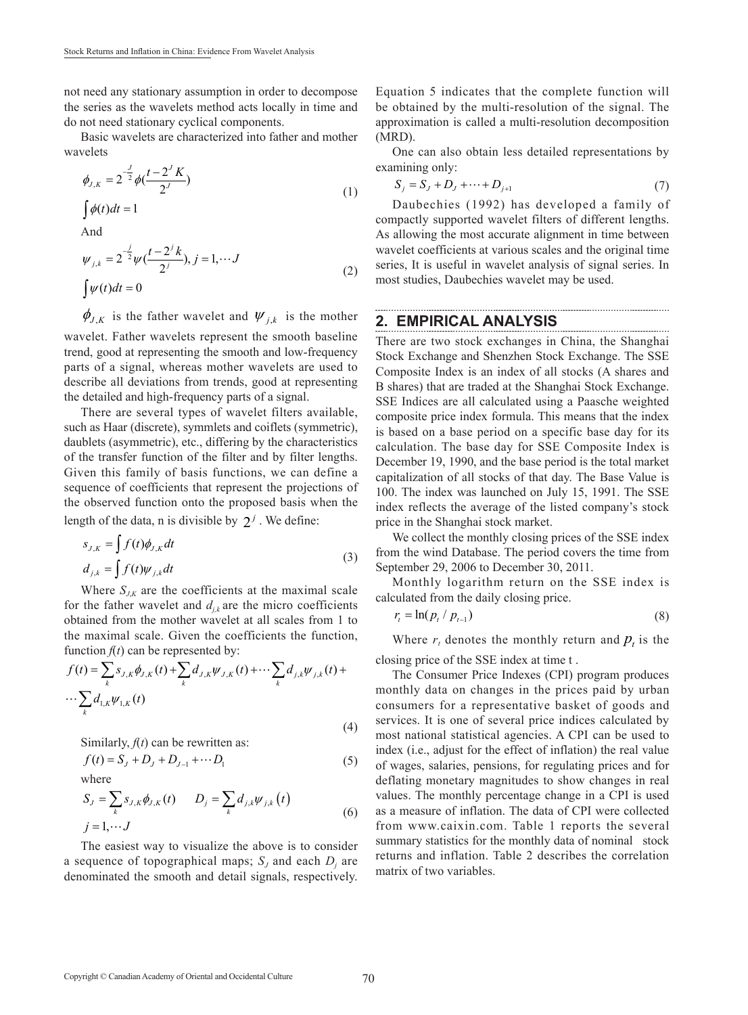not need any stationary assumption in order to decompose the series as the wavelets method acts locally in time and do not need stationary cyclical components.

Basic wavelets are characterized into father and mother wavelets

$$
\phi_{J,K} = 2^{-\frac{J}{2}} \phi(\frac{t - 2^{J} K}{2^{J}})
$$
\n(1)

 $\int \phi(t) dt = 1$ And  $\mu_{j,k} = 2^{-\frac{j}{2}} \psi\left(\frac{t-2^{j}k}{2^{j}}\right), j = 1,$  $\int \psi(t) dt = 0$  $\psi_{j,k} = 2^{-\frac{j}{2}} \psi(\frac{t-2^{j}k}{2^{j}}), j = 1, \cdots J$  (2)

 $\phi_{J,K}$  is the father wavelet and  $\psi_{j,k}$  is the mother wavelet. Father wavelets represent the smooth baseline trend, good at representing the smooth and low-frequency parts of a signal, whereas mother wavelets are used to describe all deviations from trends, good at representing the detailed and high-frequency parts of a signal.

There are several types of wavelet filters available, such as Haar (discrete), symmlets and coiflets (symmetric), daublets (asymmetric), etc., differing by the characteristics of the transfer function of the filter and by filter lengths. Given this family of basis functions, we can define a sequence of coefficients that represent the projections of the observed function onto the proposed basis when the length of the data, n is divisible by  $2^j$ . We define:

$$
s_{J,K} = \int f(t)\phi_{J,K}dt
$$
  
\n
$$
d_{j,k} = \int f(t)\psi_{J,k}dt
$$
\n(3)

Where  $S_{J,K}$  are the coefficients at the maximal scale for the father wavelet and  $d_{ik}$  are the micro coefficients obtained from the mother wavelet at all scales from 1 to the maximal scale. Given the coefficients the function, function  $f(t)$  can be represented by:

$$
f(t) = \sum_{k} s_{J,K} \phi_{J,K}(t) + \sum_{k} d_{J,K} \psi_{J,K}(t) + \cdots \sum_{k} d_{j,k} \psi_{j,k}(t) + \cdots \sum_{k} d_{1,K} \psi_{1,K}(t)
$$
\n(4)

Similarly,  $f(t)$  can be rewritten as:

$$
f(t) = S_{J} + D_{J} + D_{J-1} + \cdots + D_{1}
$$
\nwhere  
\n
$$
S_{J} = \sum_{k} s_{J,k} \phi_{J,k}(t) \qquad D_{j} = \sum_{k} d_{j,k} \psi_{j,k}(t)
$$
\n
$$
j = 1, \cdots, J
$$
\n(6)

The easiest way to visualize the above is to consider a sequence of topographical maps;  $S_J$  and each  $D_j$  are denominated the smooth and detail signals, respectively.

Equation 5 indicates that the complete function will be obtained by the multi-resolution of the signal. The approximation is called a multi-resolution decomposition (MRD).

One can also obtain less detailed representations by examining only:

$$
S_j = S_j + D_j + \dots + D_{j+1}
$$
 (7)

Daubechies (1992) has developed a family of compactly supported wavelet filters of different lengths. As allowing the most accurate alignment in time between wavelet coefficients at various scales and the original time series, It is useful in wavelet analysis of signal series. In most studies, Daubechies wavelet may be used.

#### **2. EMPIRICAL ANALYSIS**

There are two stock exchanges in China, the Shanghai Stock Exchange and Shenzhen Stock Exchange. The SSE Composite Index is an index of all stocks (A shares and B shares) that are traded at the Shanghai Stock Exchange. SSE Indices are all calculated using a Paasche weighted composite price index formula. This means that the index is based on a base period on a specific base day for its calculation. The base day for SSE Composite Index is December 19, 1990, and the base period is the total market capitalization of all stocks of that day. The Base Value is 100. The index was launched on July 15, 1991. The SSE index reflects the average of the listed company's stock price in the Shanghai stock market.

We collect the monthly closing prices of the SSE index from the wind Database. The period covers the time from September 29, 2006 to December 30, 2011.

Monthly logarithm return on the SSE index is calculated from the daily closing price.

$$
r_t = \ln(p_t / p_{t-1}) \tag{8}
$$

Where  $r_t$  denotes the monthly return and  $p_t$  is the closing price of the SSE index at time t .

The Consumer Price Indexes (CPI) program produces monthly data on changes in the prices paid by urban consumers for a representative basket of goods and services. It is one of several price indices calculated by most national statistical agencies. A CPI can be used to index (i.e., adjust for the effect of inflation) the real value of wages, salaries, pensions, for regulating prices and for deflating monetary magnitudes to show changes in real values. The monthly percentage change in a CPI is used as a measure of inflation. The data of CPI were collected from www.caixin.com. Table 1 reports the several summary statistics for the monthly data of nominal stock returns and inflation. Table 2 describes the correlation matrix of two variables.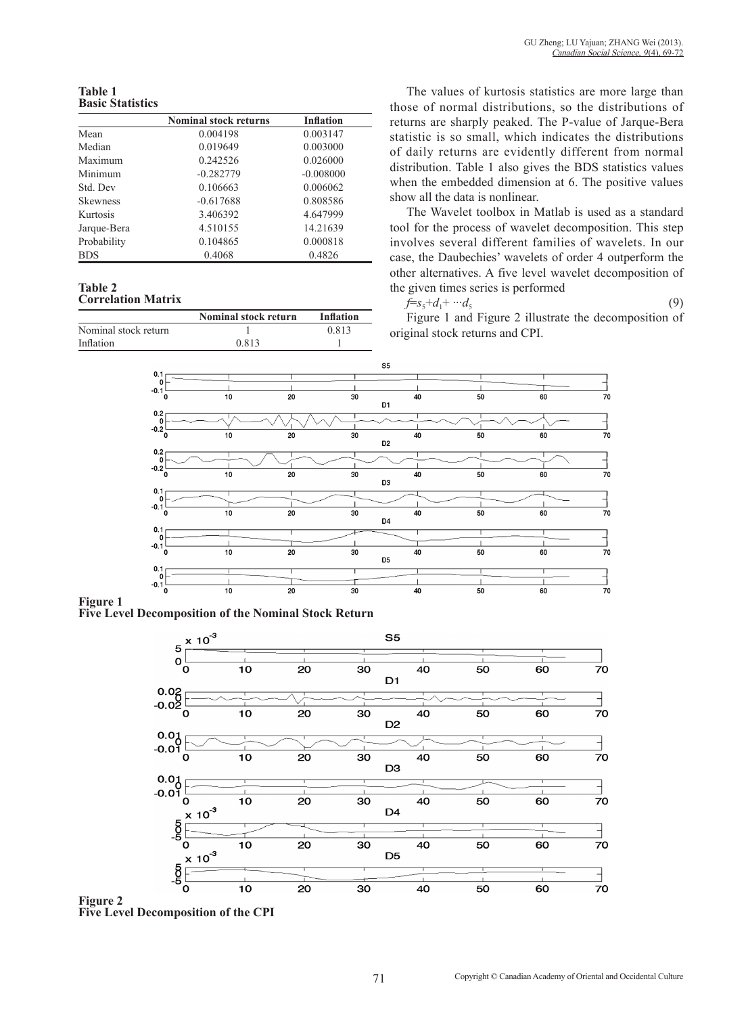**Table 1 Basic Statistics**

|                 | <b>Nominal stock returns</b> | <b>Inflation</b> |  |
|-----------------|------------------------------|------------------|--|
| Mean            | 0.004198                     | 0.003147         |  |
| Median          | 0.019649                     | 0.003000         |  |
| Maximum         | 0.242526                     | 0.026000         |  |
| Minimum         | $-0.282779$                  | $-0.008000$      |  |
| Std. Dev        | 0.106663                     | 0.006062         |  |
| <b>Skewness</b> | $-0.617688$                  | 0.808586         |  |
| Kurtosis        | 3.406392                     | 4.647999         |  |
| Jarque-Bera     | 4.510155                     | 14.21639         |  |
| Probability     | 0.104865                     | 0.000818         |  |
| <b>BDS</b>      | 0.4068                       | 0.4826           |  |

#### **Table 2 Correlation Matrix**

|                      | <b>Nominal stock return</b> | Inflation |
|----------------------|-----------------------------|-----------|
| Nominal stock return |                             | 0.813     |
| Inflation            | 0.813                       |           |

The values of kurtosis statistics are more large than those of normal distributions, so the distributions of returns are sharply peaked. The P-value of Jarque-Bera statistic is so small, which indicates the distributions of daily returns are evidently different from normal distribution. Table 1 also gives the BDS statistics values when the embedded dimension at 6. The positive values show all the data is nonlinear.

The Wavelet toolbox in Matlab is used as a standard tool for the process of wavelet decomposition. This step involves several different families of wavelets. In our case, the Daubechies' wavelets of order 4 outperform the other alternatives. A five level wavelet decomposition of the given times series is performed

$$
\bar{f}=s_5+d_1+\cdots d_5\tag{9}
$$

Figure 1 and Figure 2 illustrate the decomposition of original stock returns and CPI.



### **Figure 1**

**Five Level Decomposition of the Nominal Stock Return**



**Figure 2 Five Level Decomposition of the CPI**